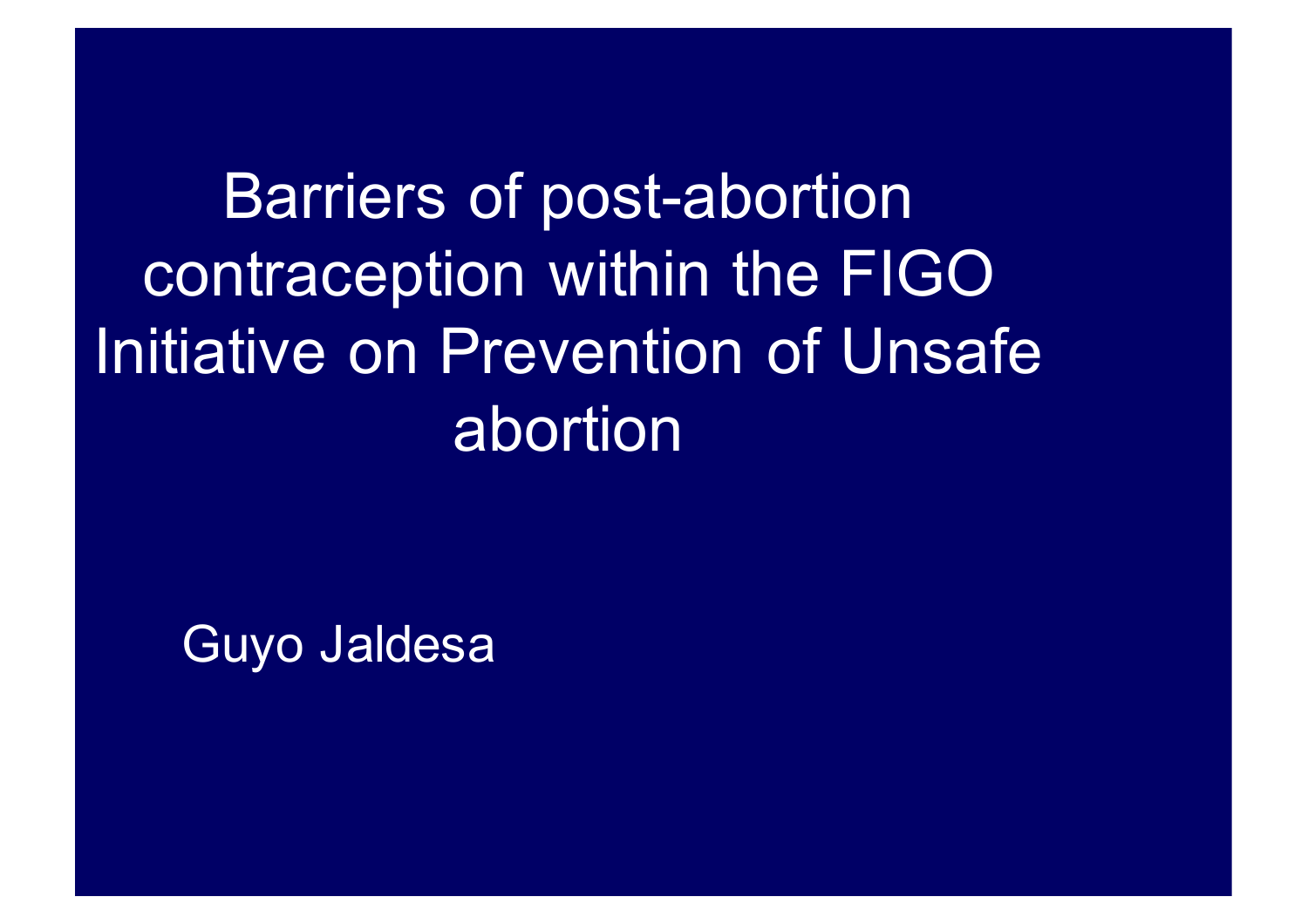Barriers of post-abortion contraception within the FIGO Initiative on Prevention of Unsafe abortion

Guyo Jaldesa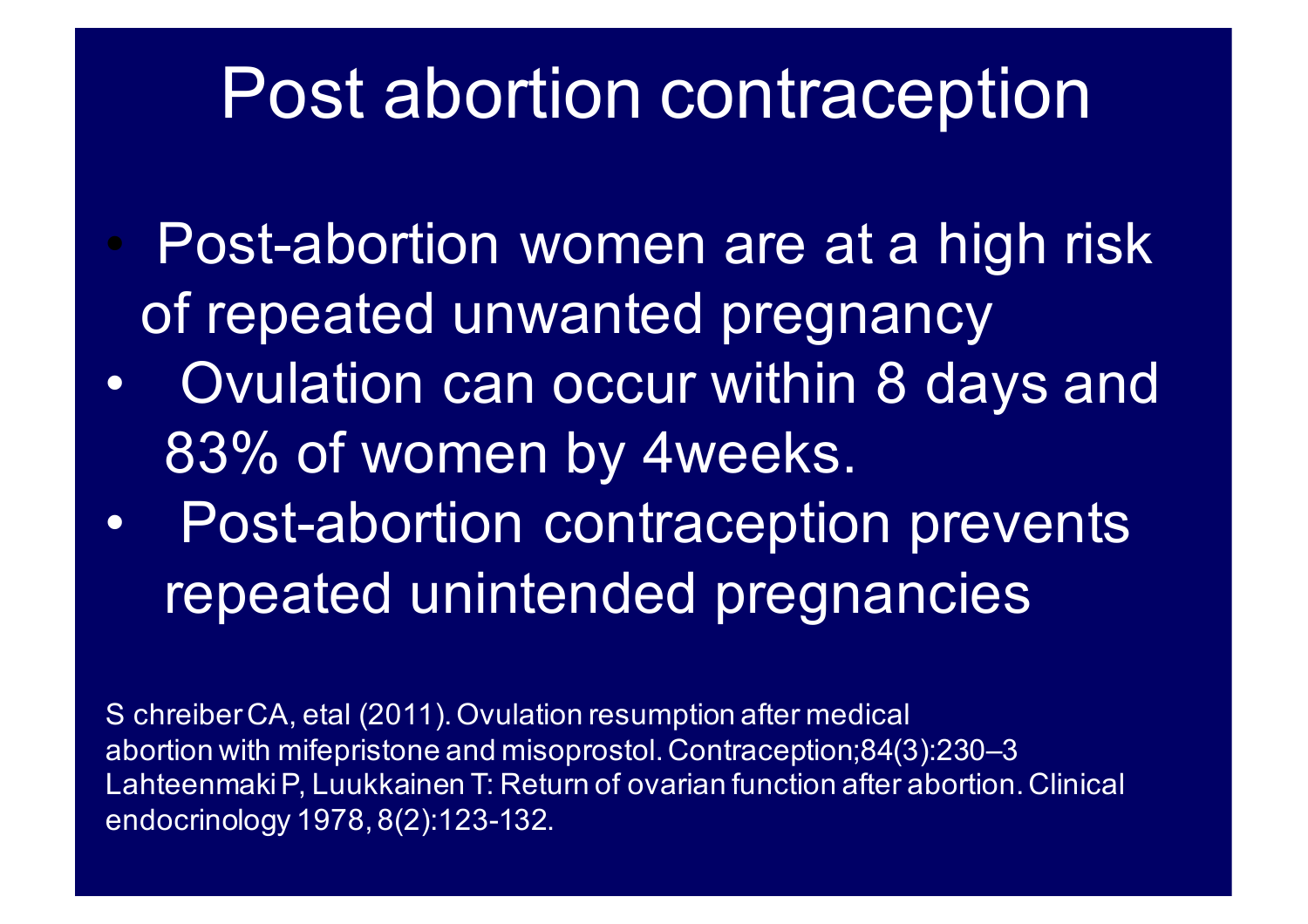#### Post abortion contraception

- Post-abortion women are at a high risk of repeated unwanted pregnancy
- Ovulation can occur within 8 days and 83% of women by 4weeks.
- Post-abortion contraception prevents repeated unintended pregnancies

S chreiberCA, etal (2011). Ovulation resumption after medical abortion with mifepristone and misoprostol. Contraception;84(3):230–3 LahteenmakiP, Luukkainen T: Return of ovarian function after abortion. Clinical endocrinology 1978, 8(2):123-132.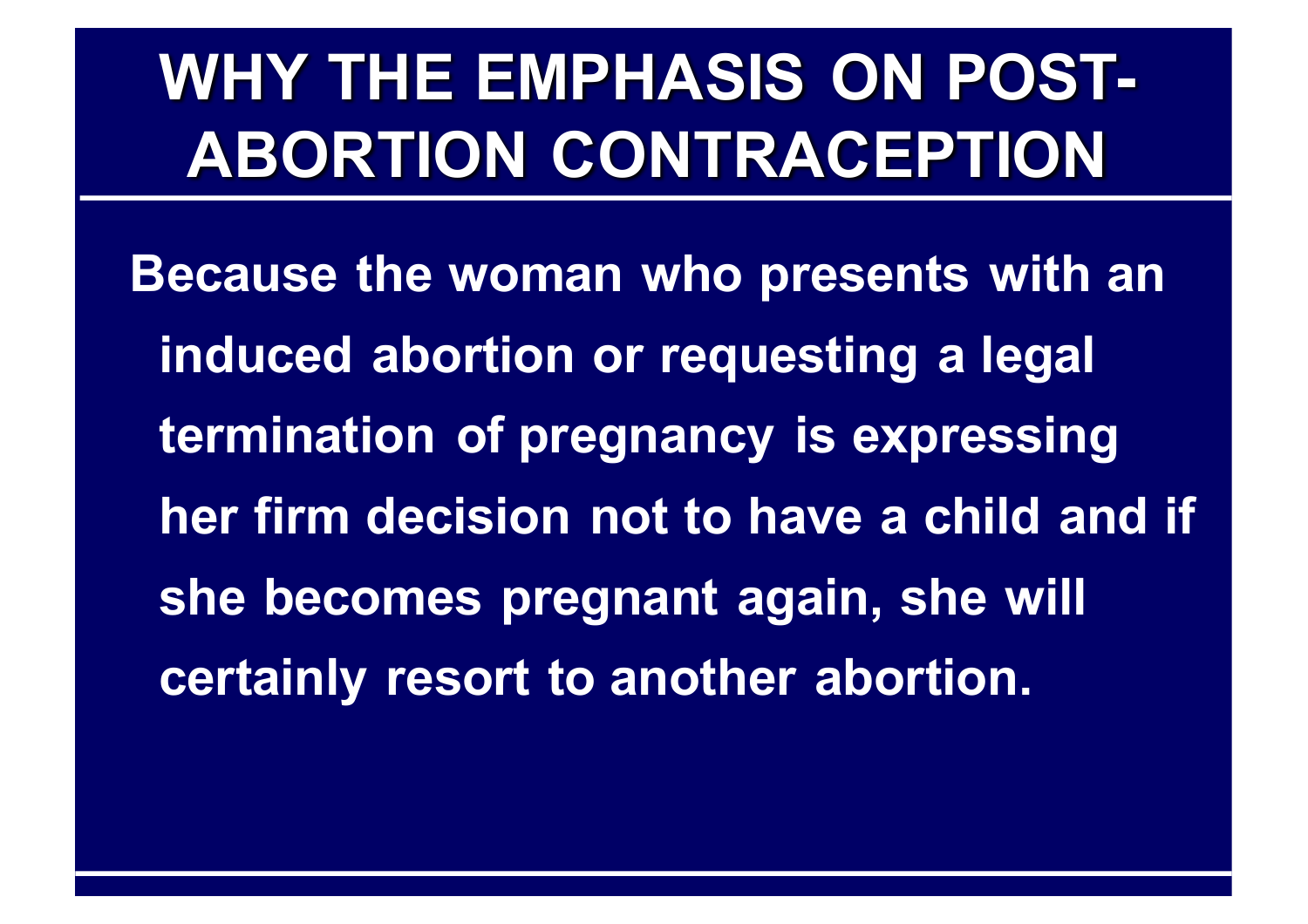# **WHY THE EMPHASIS ON POST-ABORTION CONTRACEPTION**

**Because the woman who presents with an induced abortion or requesting a legal termination of pregnancy is expressing her firm decision not to have a child and if she becomes pregnant again, she will certainly resort to another abortion.**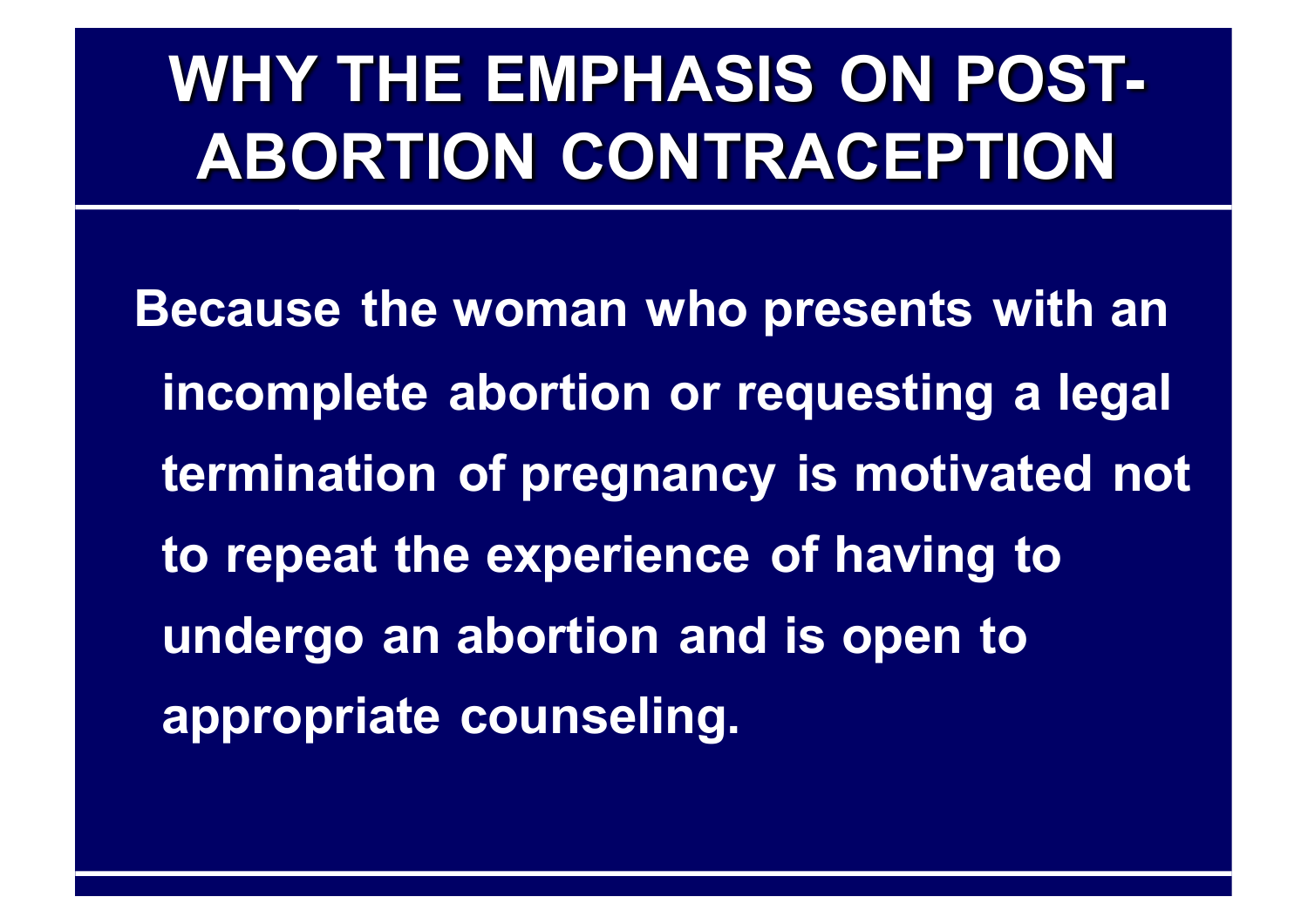# **WHY THE EMPHASIS ON POST-ABORTION CONTRACEPTION**

**Because the woman who presents with an incomplete abortion or requesting a legal termination of pregnancy is motivated not to repeat the experience of having to undergo an abortion and is open to appropriate counseling.**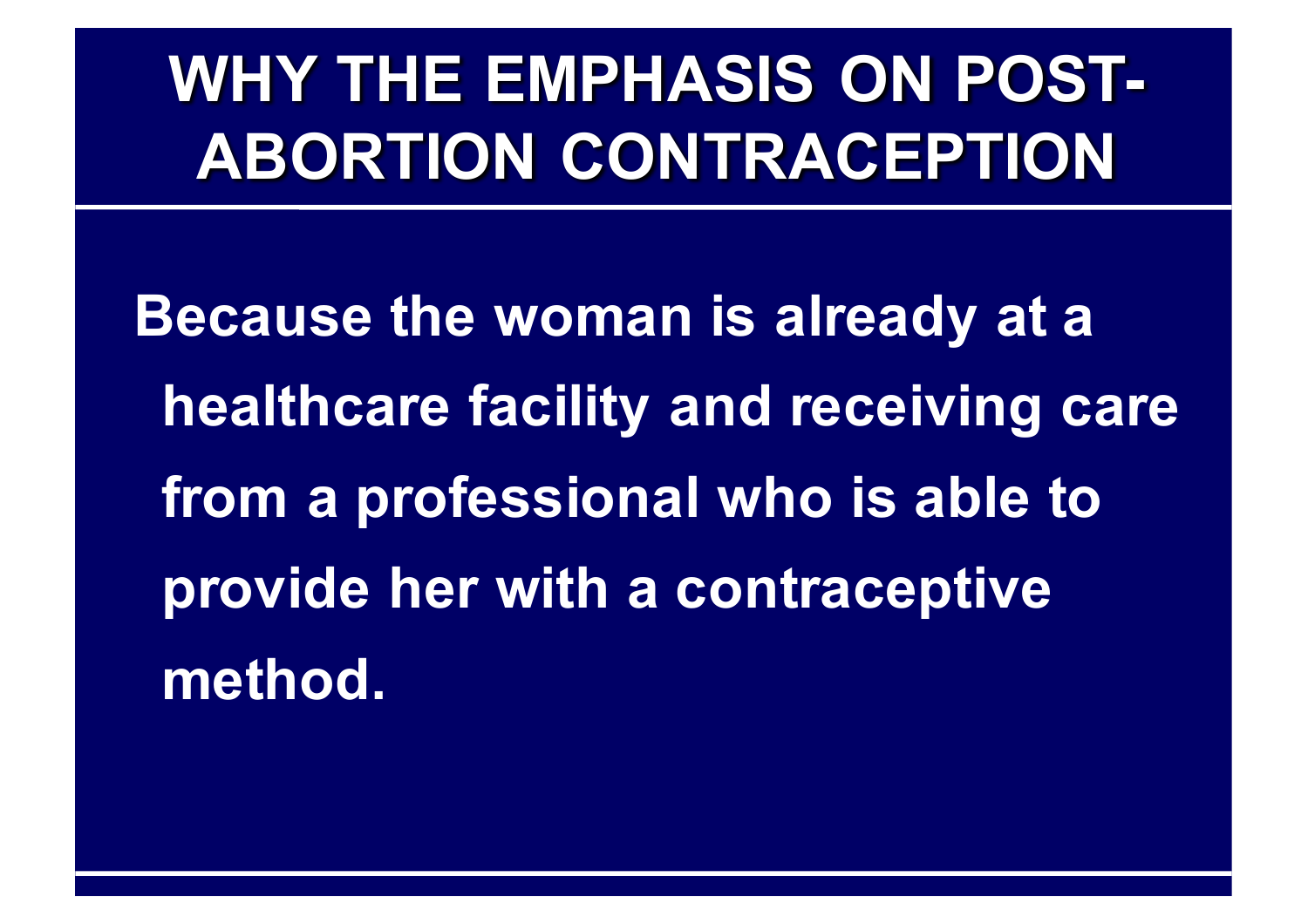# **WHY THE EMPHASIS ON POST-ABORTION CONTRACEPTION**

**Because the woman is already at a healthcare facility and receiving care from a professional who is able to provide her with a contraceptive method.**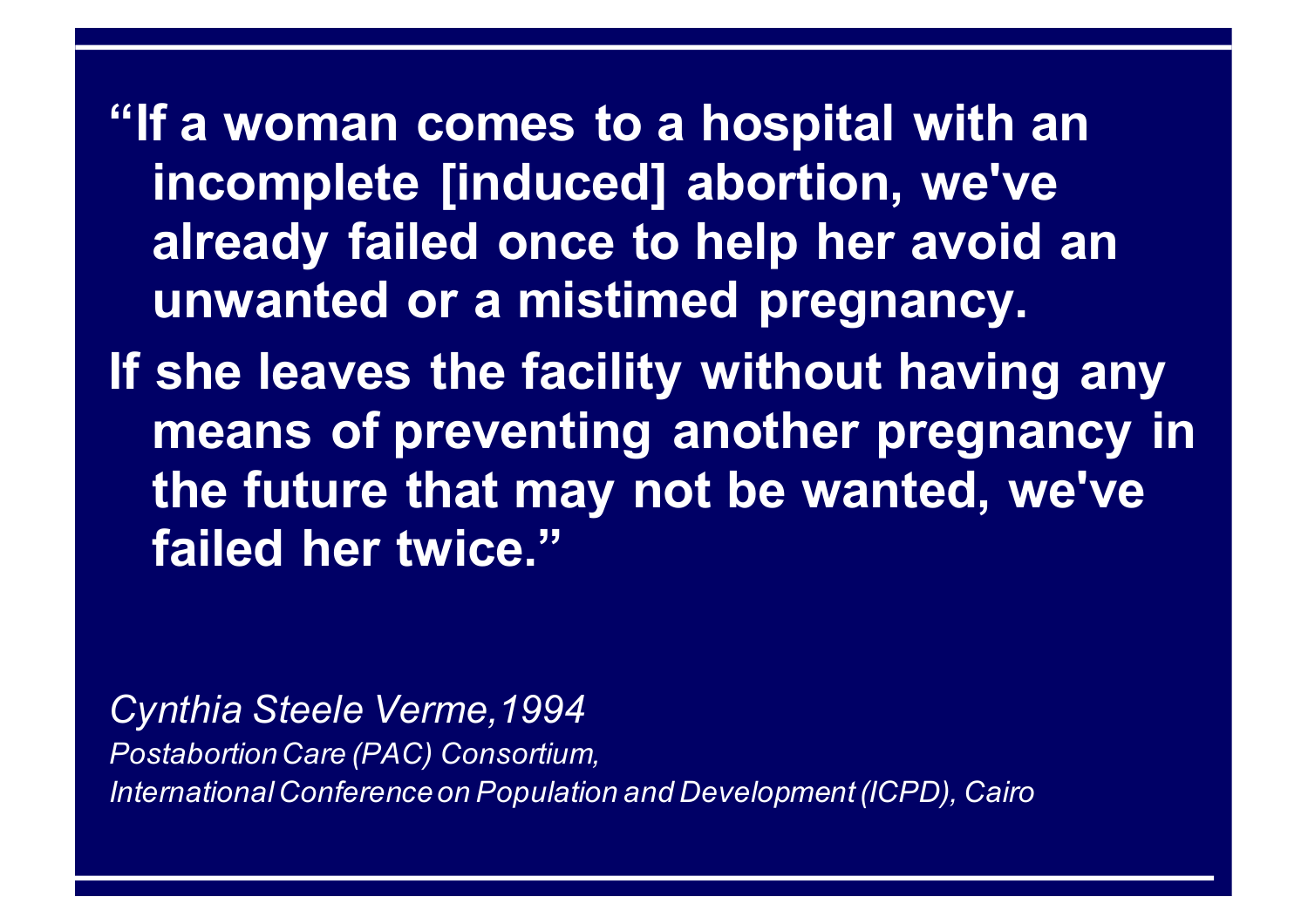**"If a woman comes to a hospital with an incomplete [induced] abortion, we've already failed once to help her avoid an unwanted or a mistimed pregnancy.** 

**If she leaves the facility without having any means of preventing another pregnancy in the future that may not be wanted, we've failed her twice."**

*Cynthia Steele Verme,1994 Postabortion Care (PAC) Consortium, International Conference on Population and Development (ICPD), Cairo*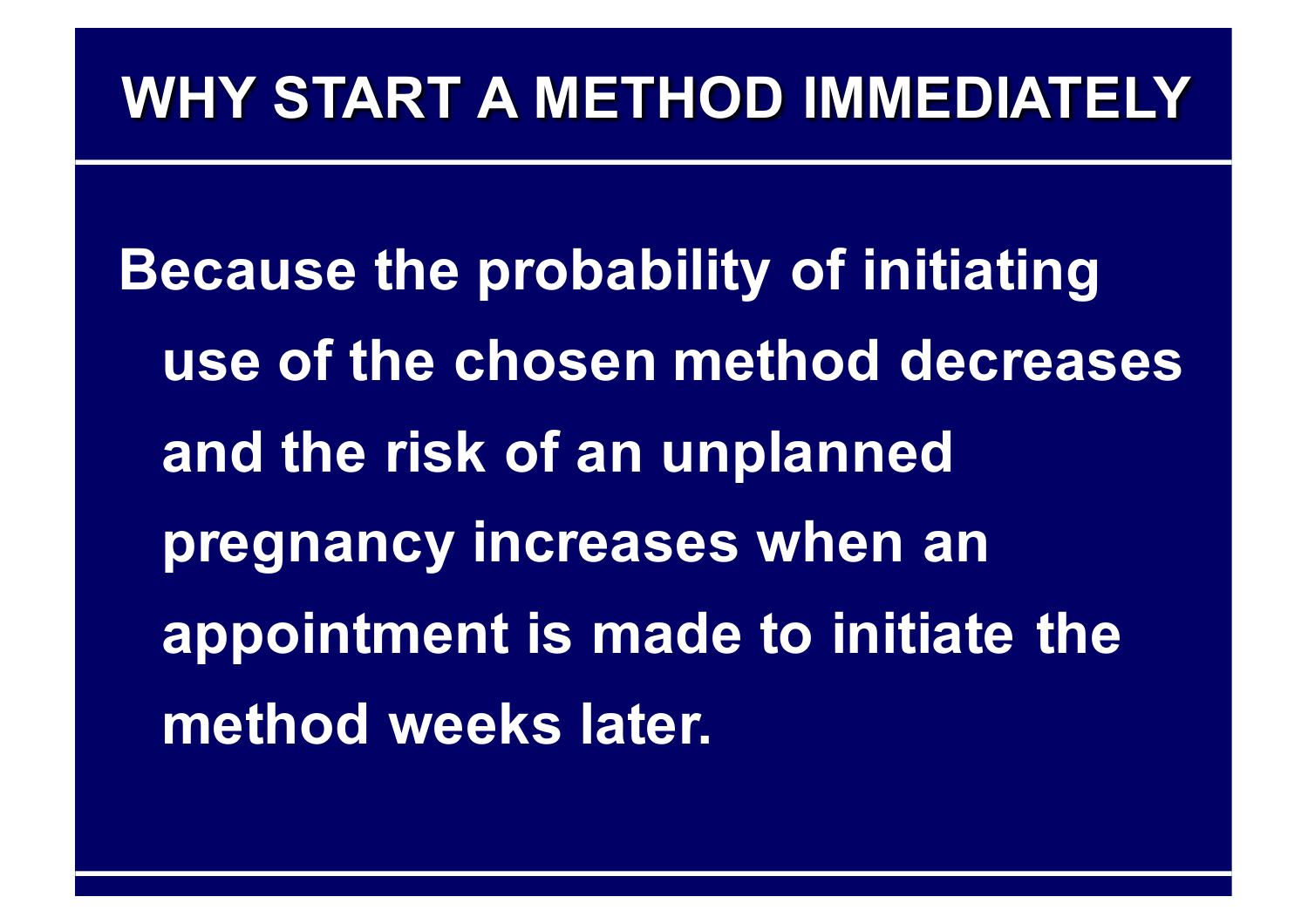#### **WHY START A METHOD IMMEDIATELY**

**Because the probability of initiating use of the chosen method decreases and the risk of an unplanned pregnancy increases when an appointment is made to initiate the method weeks later.**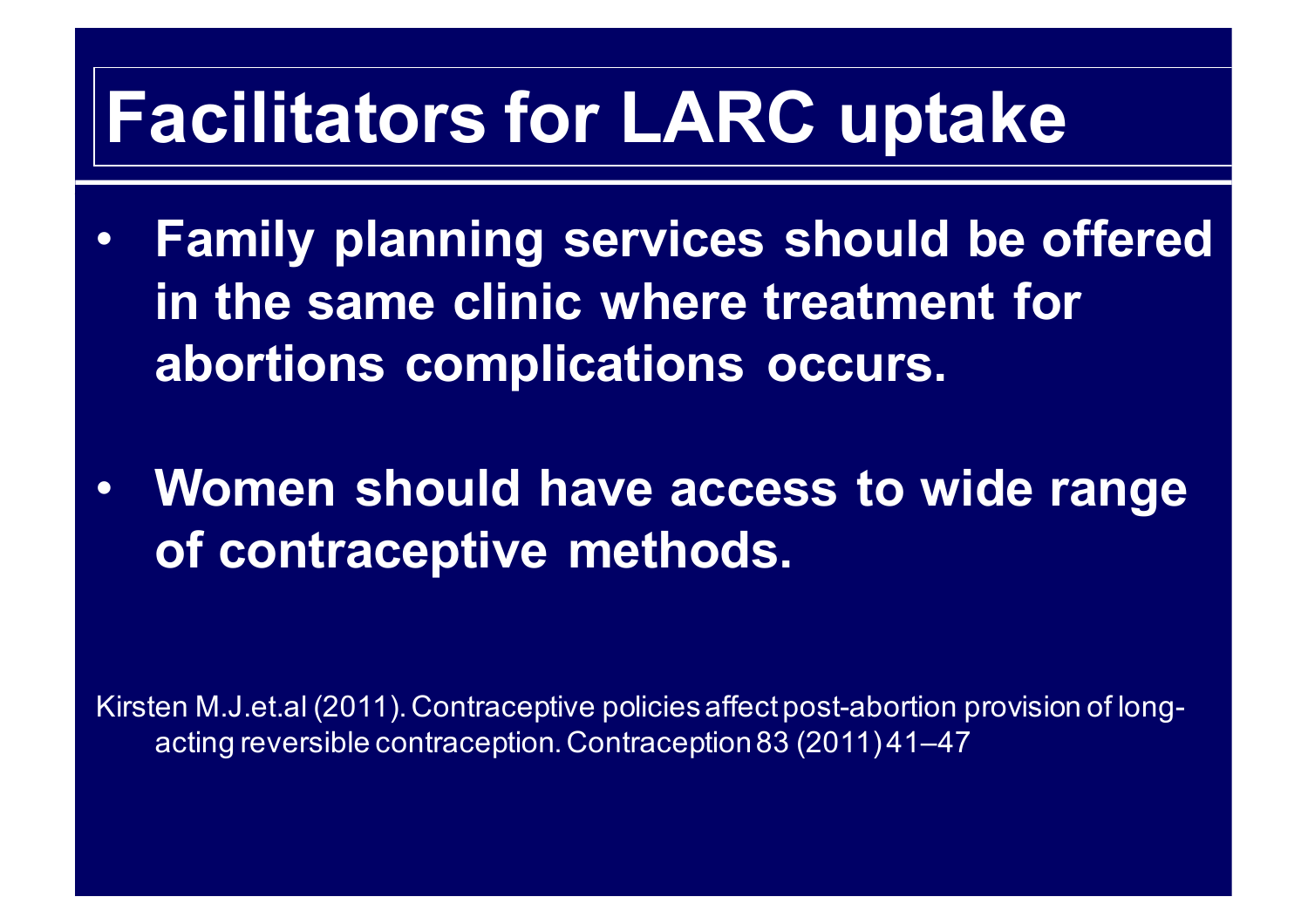### **Facilitators for LARC uptake**

- **Family planning services should be offered in the same clinic where treatment for abortions complications occurs.**
- **Women should have access to wide range of contraceptive methods.**

Kirsten M.J.et.al (2011). Contraceptive policies affect post-abortion provision of longacting reversible contraception. Contraception 83 (2011) 41–47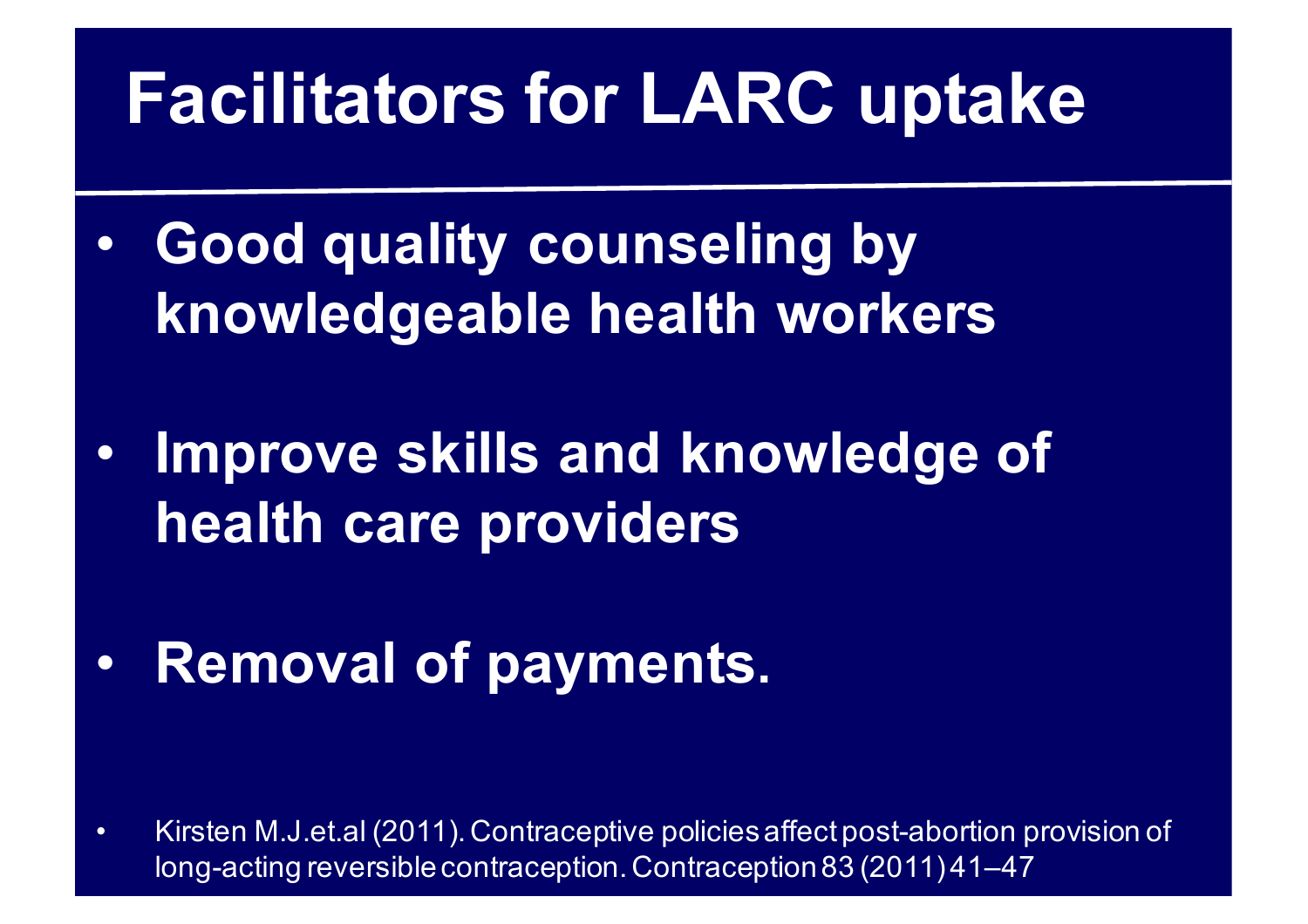# **Facilitators for LARC uptake**

- **Good quality counseling by knowledgeable health workers**
- **Improve skills and knowledge of health care providers**
- **Removal of payments.**

• Kirsten M.J.et.al (2011). Contraceptive policies affect post-abortion provision of long-acting reversible contraception. Contraception 83 (2011) 41–47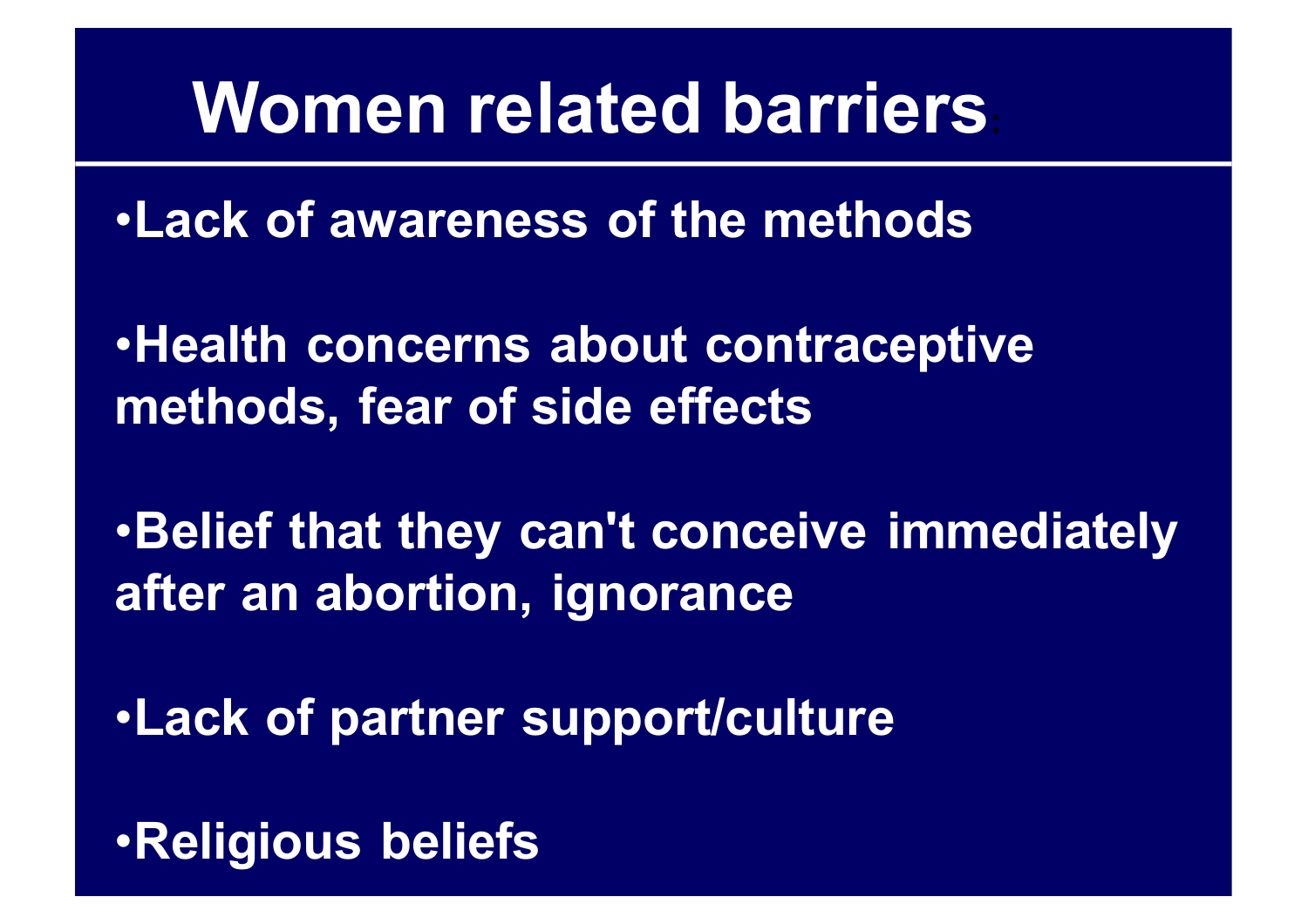#### **Women related barriers:**

•**Lack of awareness of the methods**

•**Health concerns about contraceptive methods, fear of side effects**

•**Belief that they can't conceive immediately after an abortion, ignorance**

•**Lack of partner support/culture**

•**Religious beliefs**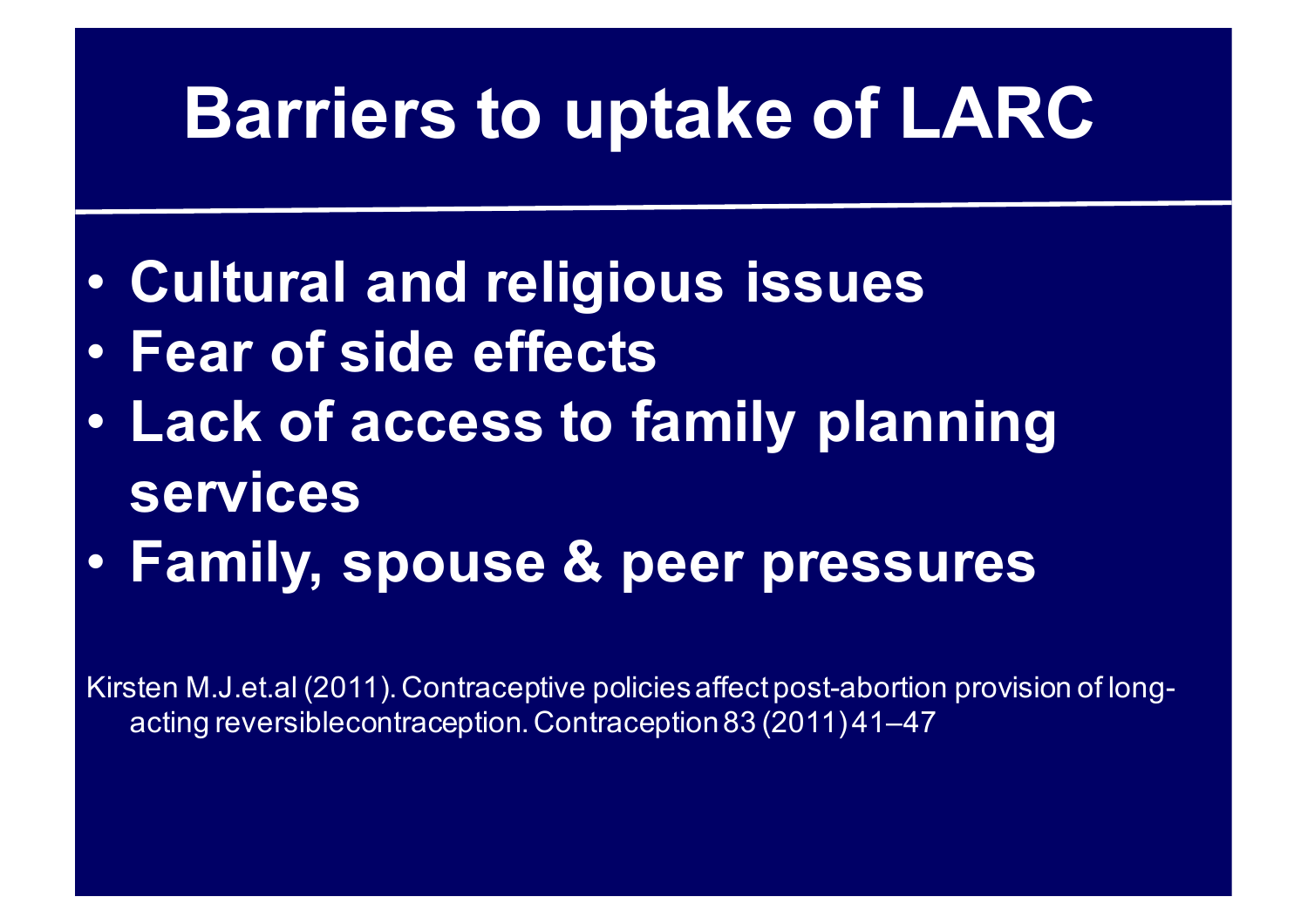## **Barriers to uptake of LARC**

- **Cultural and religious issues**
- **Fear of side effects**
- **Lack of access to family planning services**
- **Family, spouse & peer pressures**

Kirsten M.J.et.al (2011). Contraceptive policies affect post-abortion provision of longacting reversiblecontraception. Contraception 83 (2011) 41–47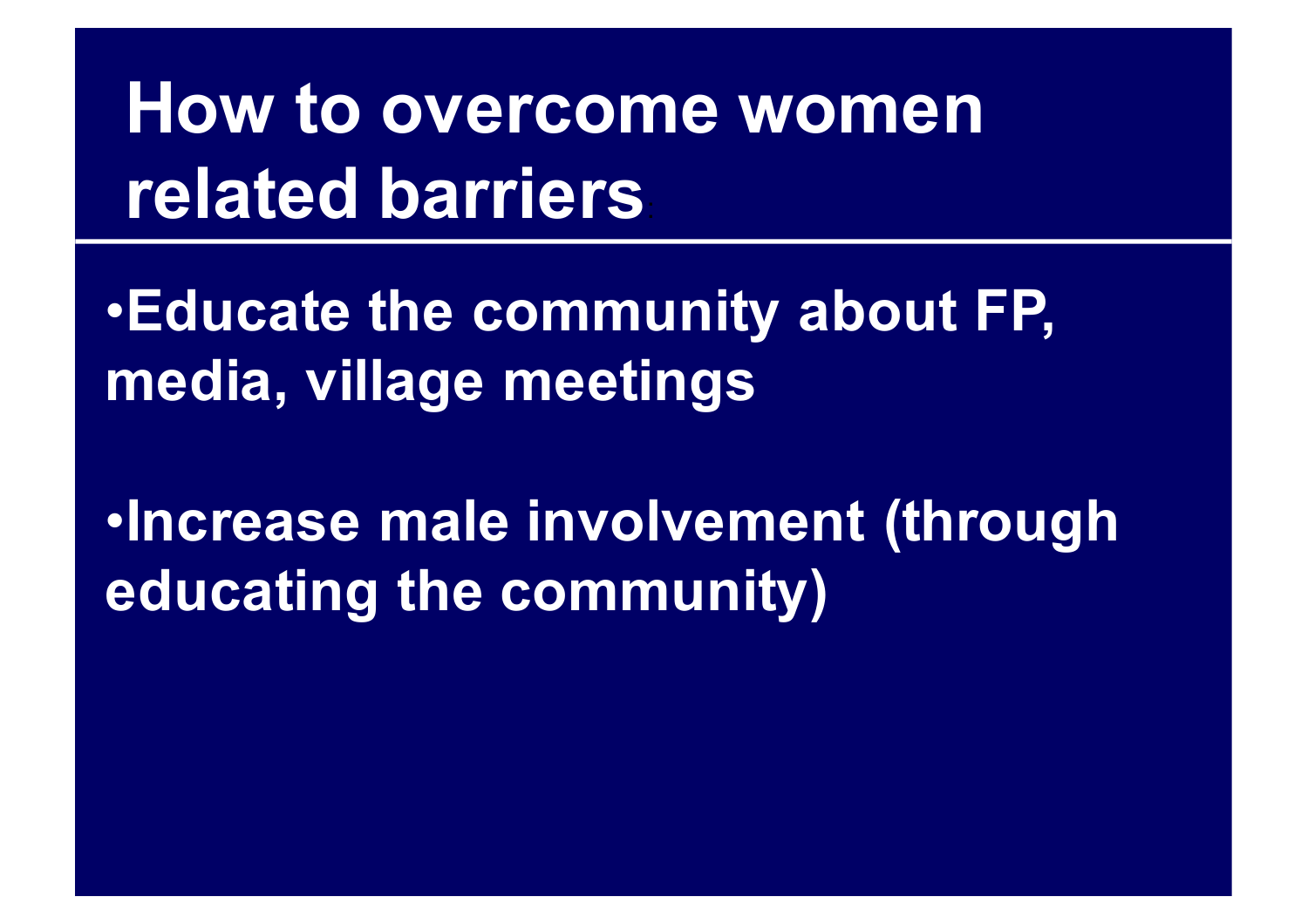# **How to overcome women related barriers**:

•**Educate the community about FP, media, village meetings**

•**Increase male involvement (through educating the community)**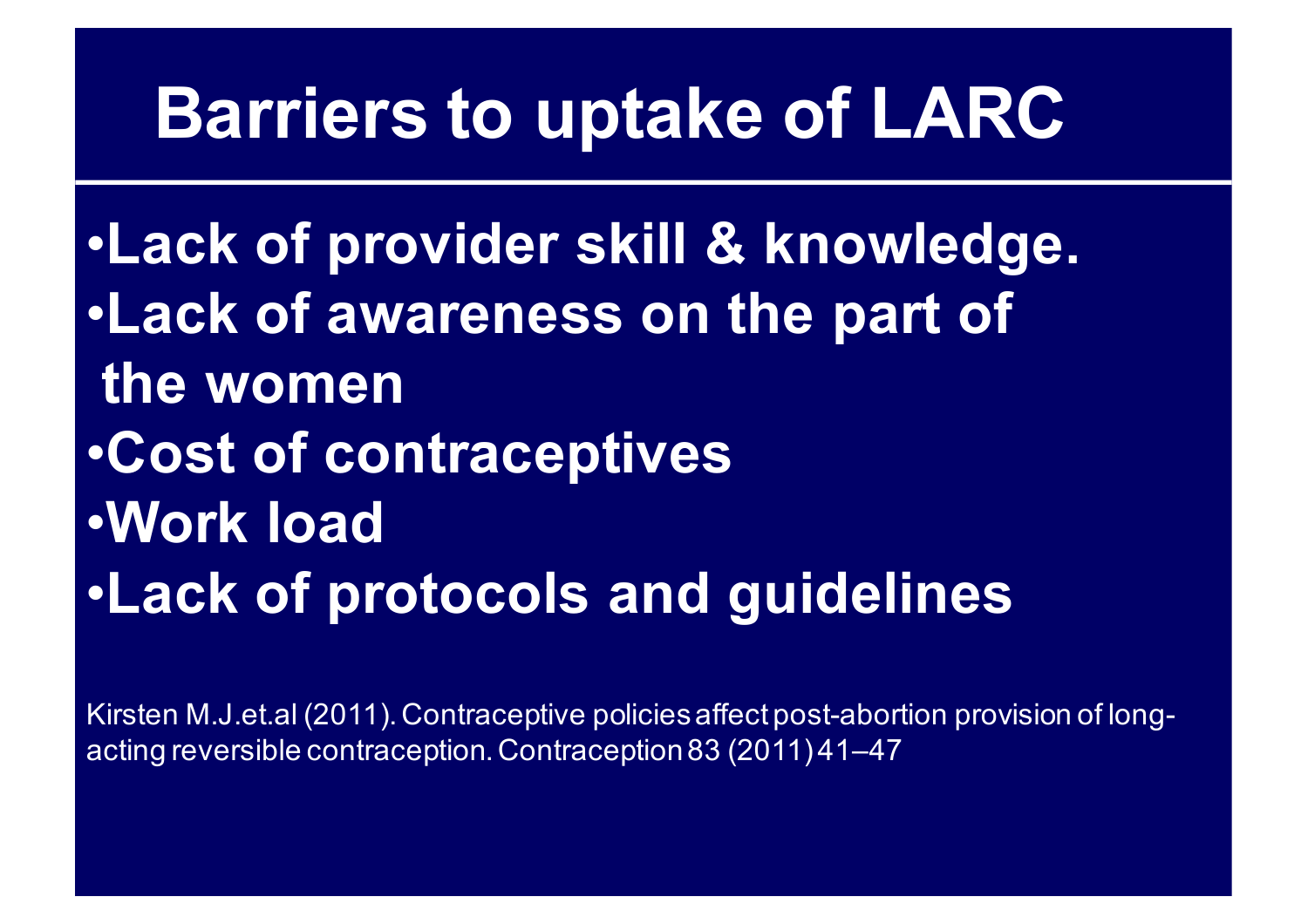#### **Barriers to uptake of LARC**

•**Lack of provider skill & knowledge.** •**Lack of awareness on the part of the women** •**Cost of contraceptives** •**Work load** •**Lack of protocols and guidelines**

Kirsten M.J.et.al (2011). Contraceptive policies affect post-abortion provision of longacting reversible contraception. Contraception 83 (2011) 41–47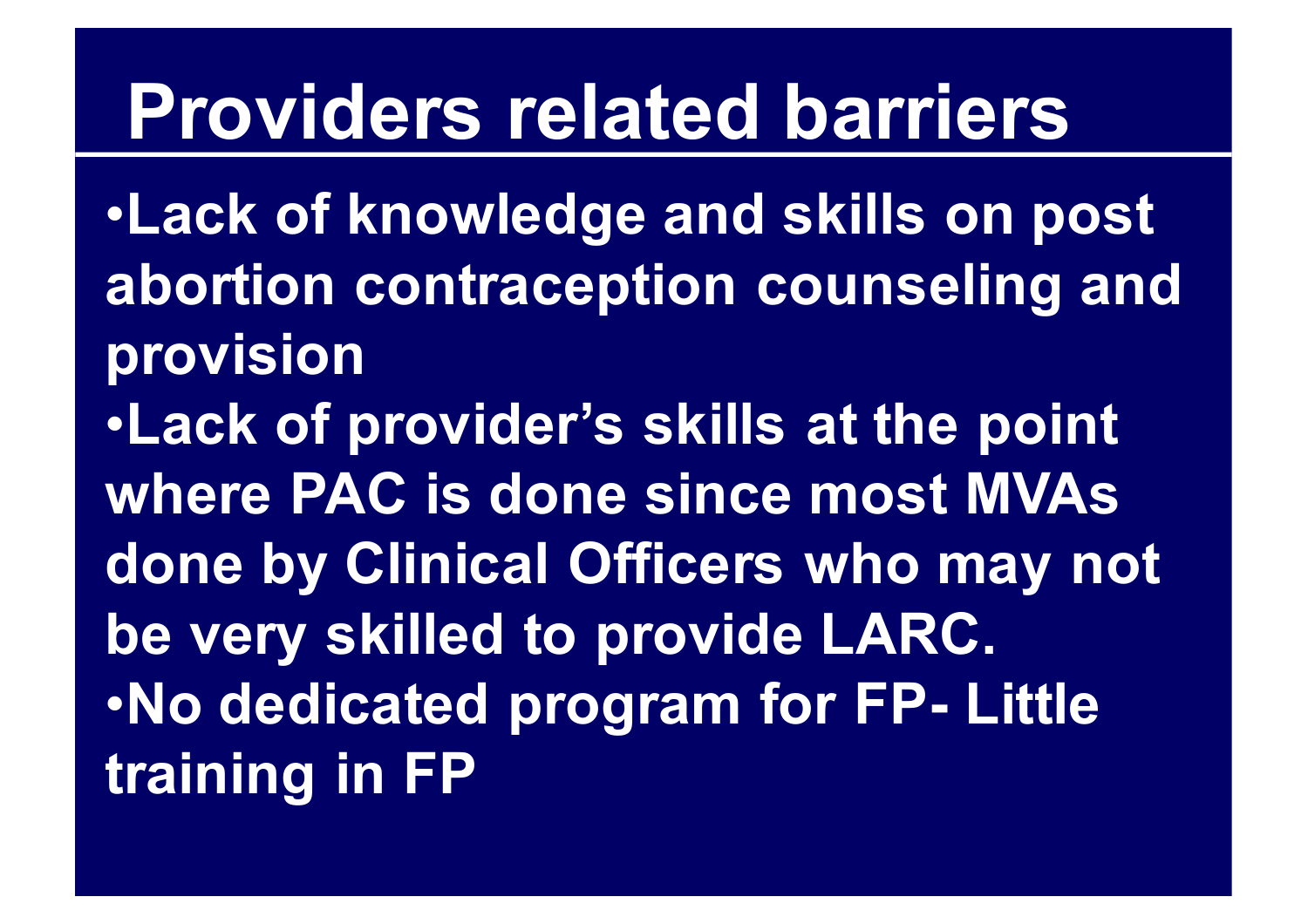# **Providers related barriers**

•**Lack of knowledge and skills on post abortion contraception counseling and provision** •**Lack of provider's skills at the point where PAC is done since most MVAs done by Clinical Officers who may not be very skilled to provide LARC.**  •**No dedicated program for FP- Little training in FP**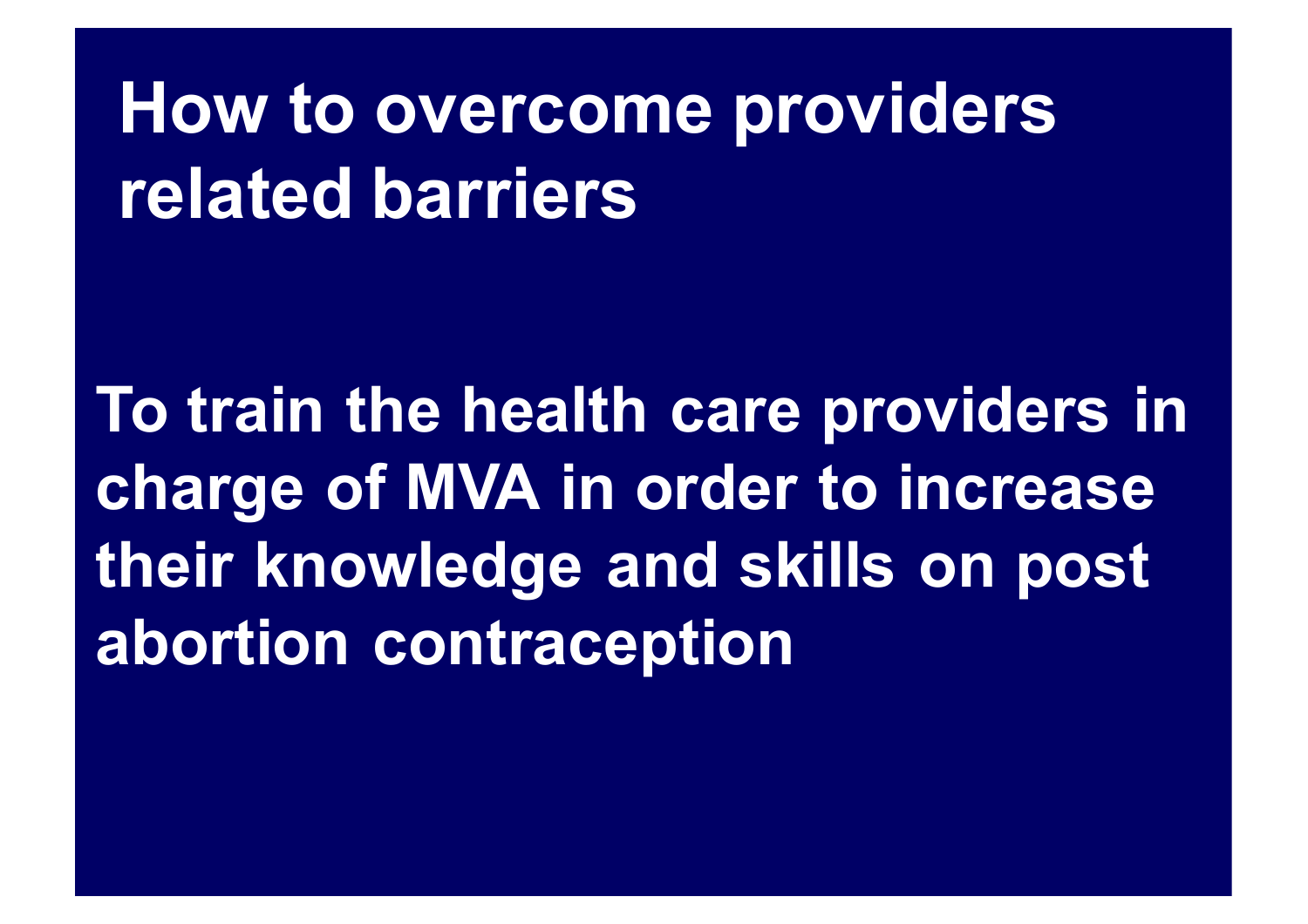# **How to overcome providers related barriers**

**To train the health care providers in charge of MVA in order to increase their knowledge and skills on post abortion contraception**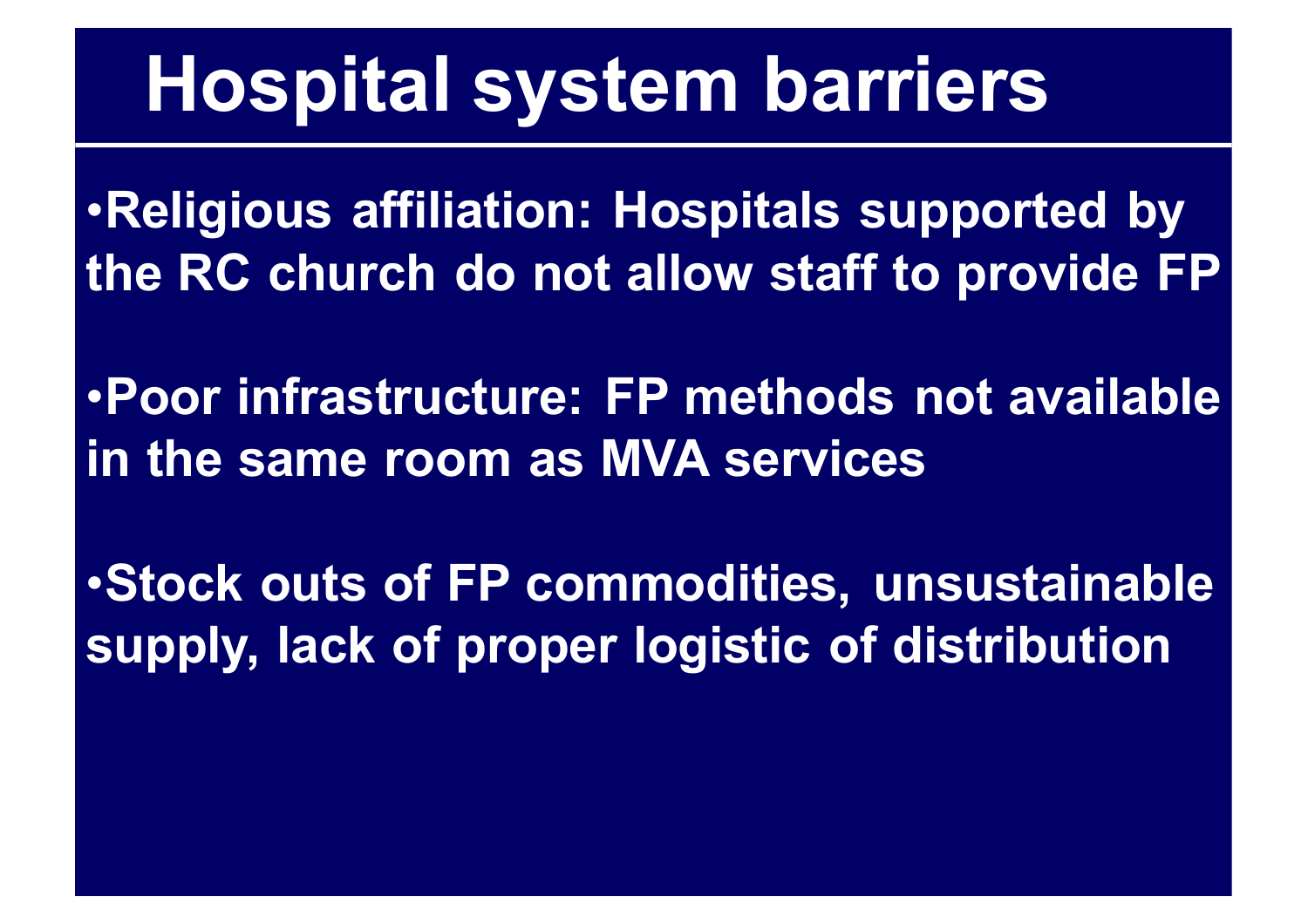# **Hospital system barriers**

•**Religious affiliation: Hospitals supported by the RC church do not allow staff to provide FP**

•**Poor infrastructure: FP methods not available in the same room as MVA services**

•**Stock outs of FP commodities, unsustainable supply, lack of proper logistic of distribution**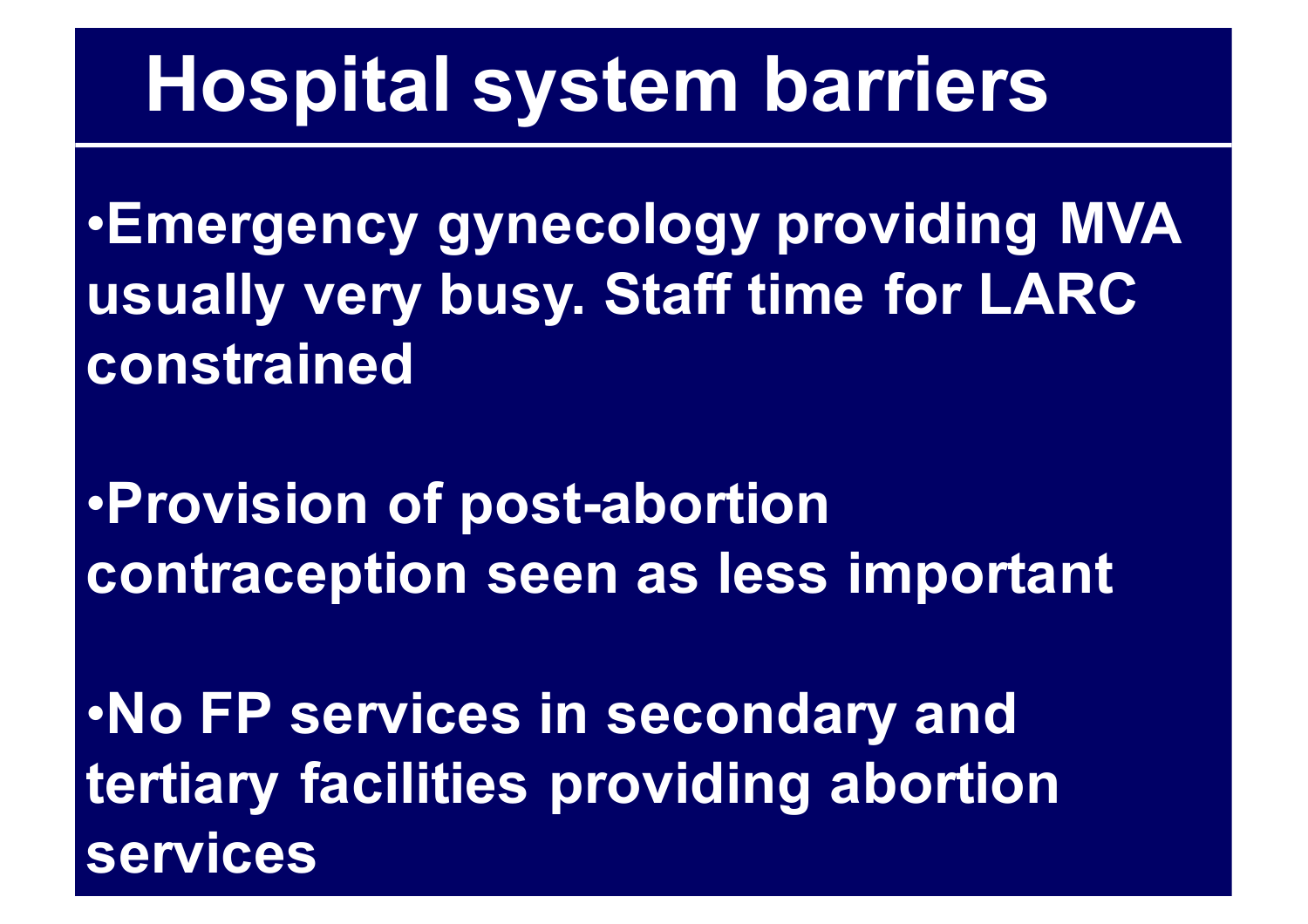# **Hospital system barriers**

•**Emergency gynecology providing MVA usually very busy. Staff time for LARC constrained**

•**Provision of post-abortion contraception seen as less important**

•**No FP services in secondary and tertiary facilities providing abortion services**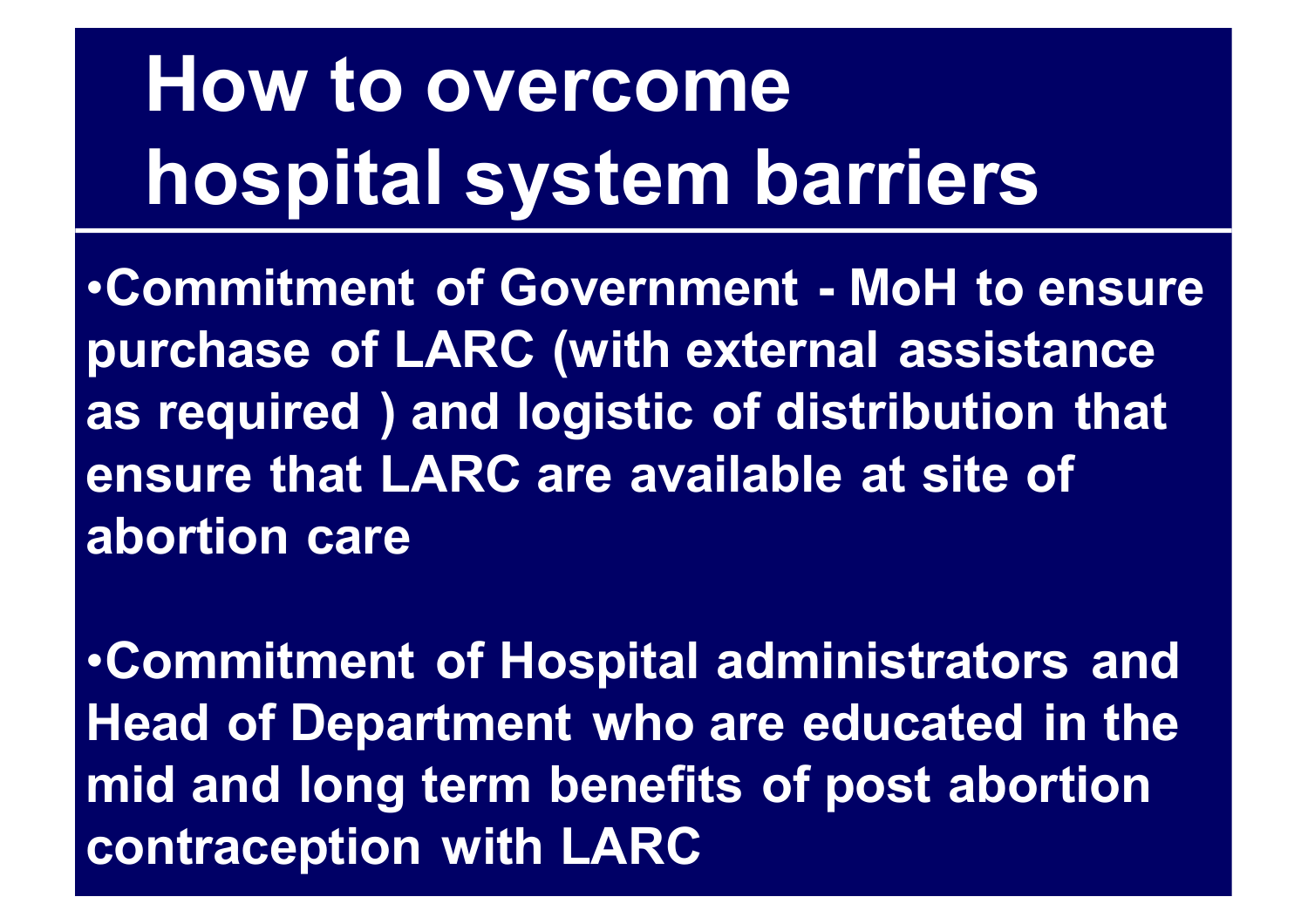# **How to overcome hospital system barriers**

•**Commitment of Government - MoH to ensure purchase of LARC (with external assistance as required ) and logistic of distribution that ensure that LARC are available at site of abortion care**

•**Commitment of Hospital administrators and Head of Department who are educated in the mid and long term benefits of post abortion contraception with LARC**